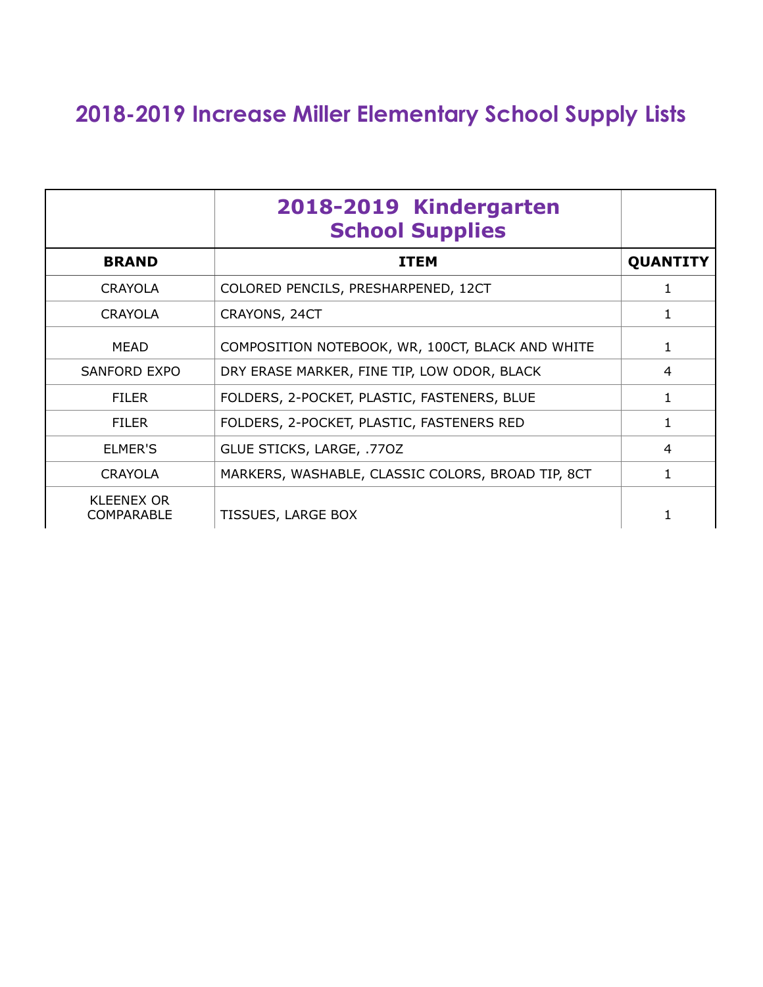## **2018-2019 Increase Miller Elementary School Supply Lists**

|                                        | 2018-2019 Kindergarten<br><b>School Supplies</b>  |                 |
|----------------------------------------|---------------------------------------------------|-----------------|
| <b>BRAND</b>                           | <b>ITEM</b>                                       | <b>QUANTITY</b> |
| <b>CRAYOLA</b>                         | COLORED PENCILS, PRESHARPENED, 12CT               |                 |
| <b>CRAYOLA</b>                         | CRAYONS, 24CT                                     | 1               |
| <b>MEAD</b>                            | COMPOSITION NOTEBOOK, WR, 100CT, BLACK AND WHITE  |                 |
| <b>SANFORD EXPO</b>                    | DRY ERASE MARKER, FINE TIP, LOW ODOR, BLACK       | 4               |
| <b>FILER</b>                           | FOLDERS, 2-POCKET, PLASTIC, FASTENERS, BLUE       | 1               |
| <b>FILER</b>                           | FOLDERS, 2-POCKET, PLASTIC, FASTENERS RED         | 1               |
| ELMER'S                                | GLUE STICKS, LARGE, .770Z                         | 4               |
| <b>CRAYOLA</b>                         | MARKERS, WASHABLE, CLASSIC COLORS, BROAD TIP, 8CT | $\mathbf{1}$    |
| <b>KLEENEX OR</b><br><b>COMPARABLE</b> | <b>TISSUES, LARGE BOX</b>                         |                 |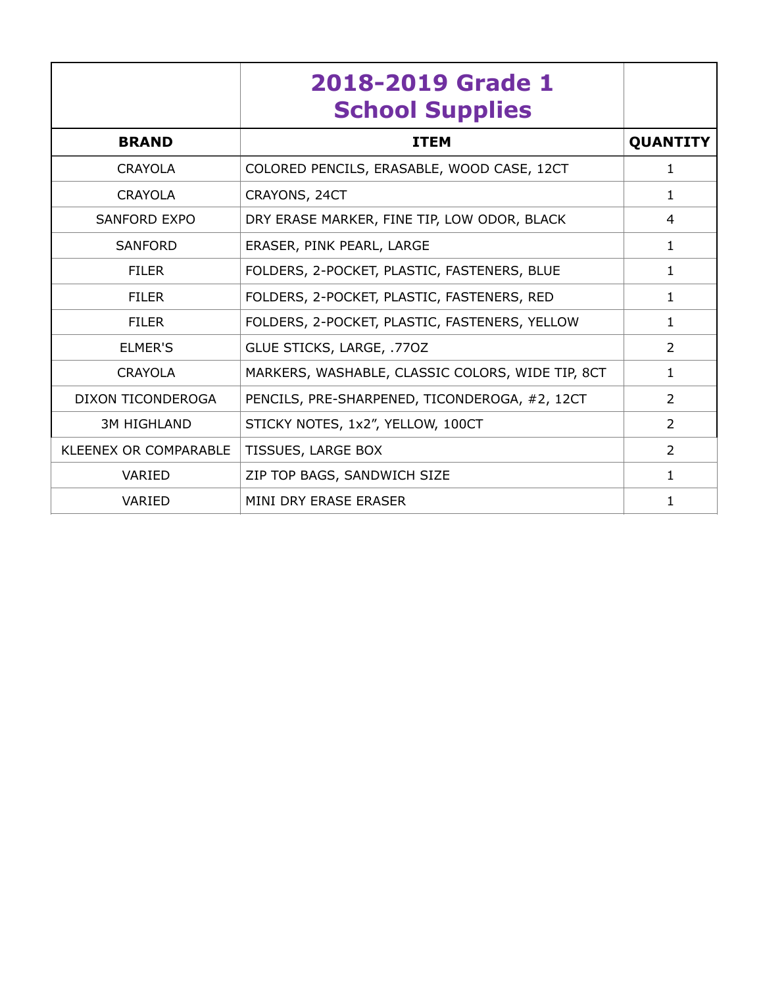|                          | 2018-2019 Grade 1<br><b>School Supplies</b>      |                 |
|--------------------------|--------------------------------------------------|-----------------|
| <b>BRAND</b>             | <b>ITEM</b>                                      | <b>QUANTITY</b> |
| <b>CRAYOLA</b>           | COLORED PENCILS, ERASABLE, WOOD CASE, 12CT       | 1               |
| <b>CRAYOLA</b>           | CRAYONS, 24CT                                    | $\mathbf{1}$    |
| <b>SANFORD EXPO</b>      | DRY ERASE MARKER, FINE TIP, LOW ODOR, BLACK      | 4               |
| <b>SANFORD</b>           | ERASER, PINK PEARL, LARGE                        | $\mathbf{1}$    |
| <b>FILER</b>             | FOLDERS, 2-POCKET, PLASTIC, FASTENERS, BLUE      | $\mathbf{1}$    |
| <b>FILER</b>             | FOLDERS, 2-POCKET, PLASTIC, FASTENERS, RED       | 1               |
| <b>FILER</b>             | FOLDERS, 2-POCKET, PLASTIC, FASTENERS, YELLOW    | 1               |
| <b>ELMER'S</b>           | GLUE STICKS, LARGE, .770Z                        | 2               |
| <b>CRAYOLA</b>           | MARKERS, WASHABLE, CLASSIC COLORS, WIDE TIP, 8CT | $\mathbf{1}$    |
| <b>DIXON TICONDEROGA</b> | PENCILS, PRE-SHARPENED, TICONDEROGA, #2, 12CT    | $\overline{2}$  |
| <b>3M HIGHLAND</b>       | STICKY NOTES, 1x2", YELLOW, 100CT                | $\overline{2}$  |
| KLEENEX OR COMPARABLE    | TISSUES, LARGE BOX                               | $\overline{2}$  |
| <b>VARIED</b>            | ZIP TOP BAGS, SANDWICH SIZE                      | $\mathbf{1}$    |
| <b>VARIED</b>            | MINI DRY ERASE ERASER                            | 1               |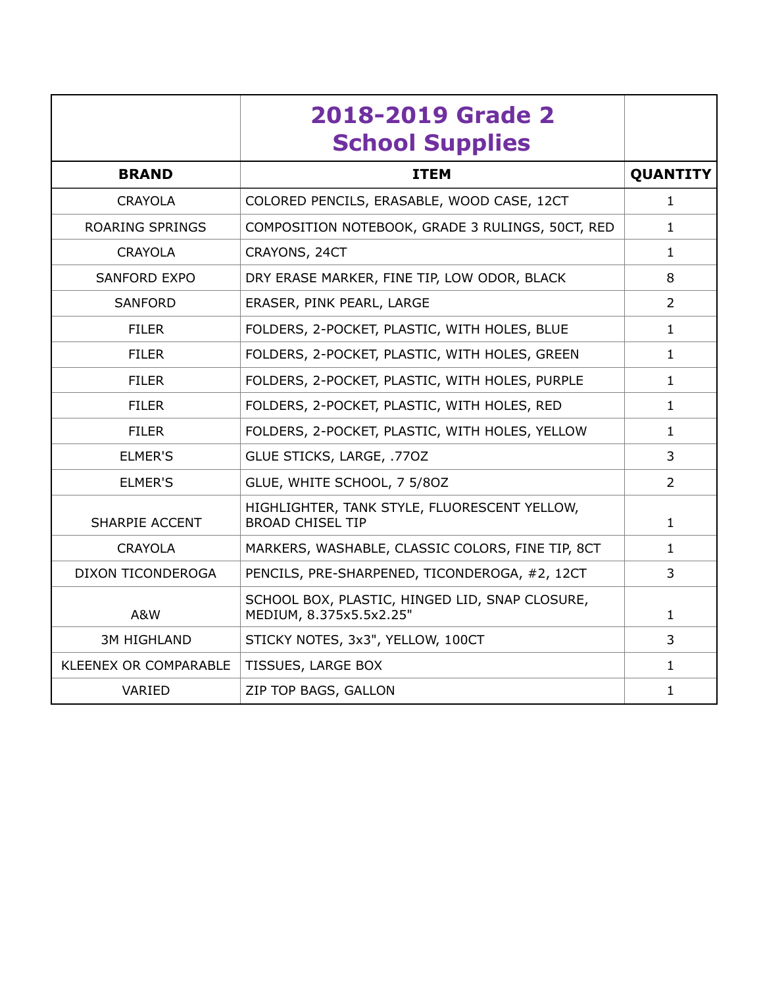|                        | 2018-2019 Grade 2<br><b>School Supplies</b>                               |                 |
|------------------------|---------------------------------------------------------------------------|-----------------|
| <b>BRAND</b>           | <b>ITEM</b>                                                               | <b>QUANTITY</b> |
| <b>CRAYOLA</b>         | COLORED PENCILS, ERASABLE, WOOD CASE, 12CT                                | 1               |
| <b>ROARING SPRINGS</b> | COMPOSITION NOTEBOOK, GRADE 3 RULINGS, 50CT, RED                          | $\mathbf{1}$    |
| <b>CRAYOLA</b>         | CRAYONS, 24CT                                                             | 1               |
| <b>SANFORD EXPO</b>    | DRY ERASE MARKER, FINE TIP, LOW ODOR, BLACK                               | 8               |
| <b>SANFORD</b>         | ERASER, PINK PEARL, LARGE                                                 | $\overline{2}$  |
| <b>FILER</b>           | FOLDERS, 2-POCKET, PLASTIC, WITH HOLES, BLUE                              | $\mathbf{1}$    |
| <b>FILER</b>           | FOLDERS, 2-POCKET, PLASTIC, WITH HOLES, GREEN                             | $\mathbf{1}$    |
| <b>FILER</b>           | FOLDERS, 2-POCKET, PLASTIC, WITH HOLES, PURPLE                            | $\mathbf{1}$    |
| <b>FILER</b>           | FOLDERS, 2-POCKET, PLASTIC, WITH HOLES, RED                               | $\mathbf{1}$    |
| <b>FILER</b>           | FOLDERS, 2-POCKET, PLASTIC, WITH HOLES, YELLOW                            | $\mathbf{1}$    |
| <b>ELMER'S</b>         | GLUE STICKS, LARGE, .770Z                                                 | 3               |
| <b>ELMER'S</b>         | GLUE, WHITE SCHOOL, 7 5/80Z                                               | $\mathcal{L}$   |
| <b>SHARPIE ACCENT</b>  | HIGHLIGHTER, TANK STYLE, FLUORESCENT YELLOW,<br><b>BROAD CHISEL TIP</b>   | $\mathbf{1}$    |
| <b>CRAYOLA</b>         | MARKERS, WASHABLE, CLASSIC COLORS, FINE TIP, 8CT                          | $\mathbf{1}$    |
| DIXON TICONDEROGA      | PENCILS, PRE-SHARPENED, TICONDEROGA, #2, 12CT                             | 3               |
| A&W                    | SCHOOL BOX, PLASTIC, HINGED LID, SNAP CLOSURE,<br>MEDIUM, 8.375x5.5x2.25" | $\mathbf{1}$    |
| <b>3M HIGHLAND</b>     | STICKY NOTES, 3x3", YELLOW, 100CT                                         | 3               |
| KLEENEX OR COMPARABLE  | TISSUES, LARGE BOX                                                        | $\mathbf{1}$    |
| VARIED                 | ZIP TOP BAGS, GALLON                                                      | $\mathbf{1}$    |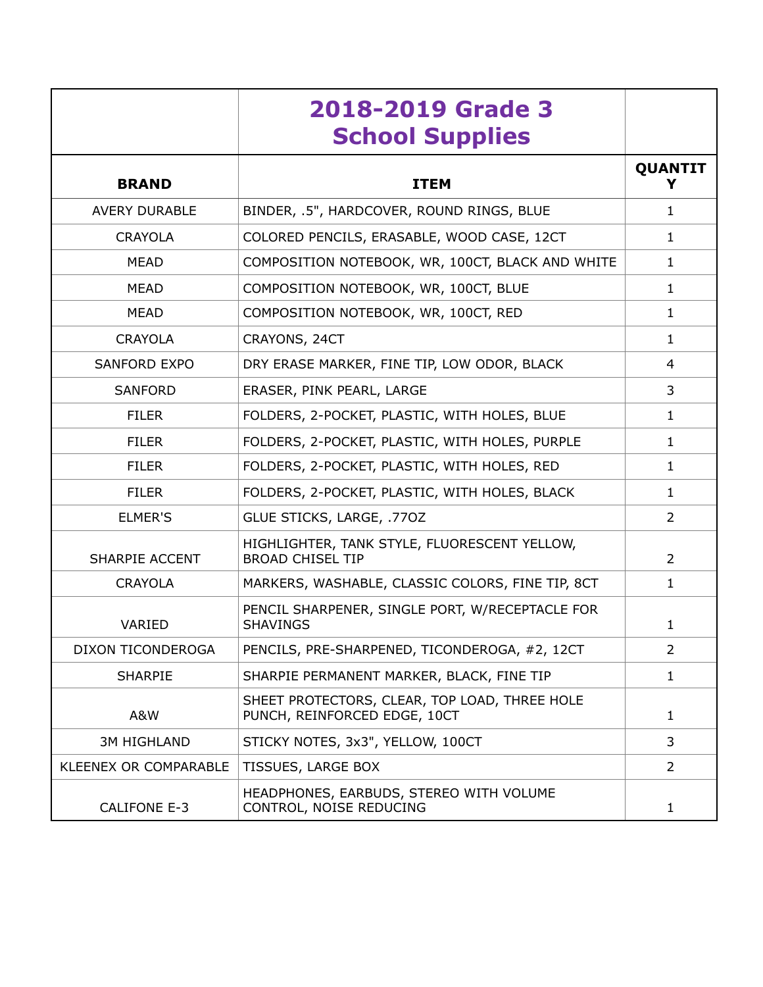|                              | 2018-2019 Grade 3<br><b>School Supplies</b>                                   |                |
|------------------------------|-------------------------------------------------------------------------------|----------------|
| <b>BRAND</b>                 | <b>ITEM</b>                                                                   | <b>QUANTIT</b> |
| <b>AVERY DURABLE</b>         | BINDER, .5", HARDCOVER, ROUND RINGS, BLUE                                     | $\mathbf{1}$   |
| <b>CRAYOLA</b>               | COLORED PENCILS, ERASABLE, WOOD CASE, 12CT                                    | $\mathbf{1}$   |
| <b>MEAD</b>                  | COMPOSITION NOTEBOOK, WR, 100CT, BLACK AND WHITE                              | $\mathbf{1}$   |
| <b>MEAD</b>                  | COMPOSITION NOTEBOOK, WR, 100CT, BLUE                                         | $\mathbf{1}$   |
| <b>MEAD</b>                  | COMPOSITION NOTEBOOK, WR, 100CT, RED                                          | $\mathbf{1}$   |
| <b>CRAYOLA</b>               | CRAYONS, 24CT                                                                 | $\mathbf{1}$   |
| <b>SANFORD EXPO</b>          | DRY ERASE MARKER, FINE TIP, LOW ODOR, BLACK                                   | 4              |
| <b>SANFORD</b>               | ERASER, PINK PEARL, LARGE                                                     | 3              |
| <b>FILER</b>                 | FOLDERS, 2-POCKET, PLASTIC, WITH HOLES, BLUE                                  | $\mathbf{1}$   |
| <b>FILER</b>                 | FOLDERS, 2-POCKET, PLASTIC, WITH HOLES, PURPLE                                | $\mathbf{1}$   |
| <b>FILER</b>                 | FOLDERS, 2-POCKET, PLASTIC, WITH HOLES, RED                                   | 1              |
| <b>FILER</b>                 | FOLDERS, 2-POCKET, PLASTIC, WITH HOLES, BLACK                                 | $\mathbf{1}$   |
| <b>ELMER'S</b>               | GLUE STICKS, LARGE, .770Z                                                     | 2              |
| <b>SHARPIE ACCENT</b>        | HIGHLIGHTER, TANK STYLE, FLUORESCENT YELLOW,<br><b>BROAD CHISEL TIP</b>       | $\overline{2}$ |
| <b>CRAYOLA</b>               | MARKERS, WASHABLE, CLASSIC COLORS, FINE TIP, 8CT                              | $\mathbf{1}$   |
| VARIED                       | PENCIL SHARPENER, SINGLE PORT, W/RECEPTACLE FOR<br><b>SHAVINGS</b>            | $\mathbf{1}$   |
| DIXON TICONDEROGA            | PENCILS, PRE-SHARPENED, TICONDEROGA, #2, 12CT                                 | $\overline{2}$ |
| <b>SHARPIE</b>               | SHARPIE PERMANENT MARKER, BLACK, FINE TIP                                     | 1              |
| A&W                          | SHEET PROTECTORS, CLEAR, TOP LOAD, THREE HOLE<br>PUNCH, REINFORCED EDGE, 10CT | $\mathbf{1}$   |
| <b>3M HIGHLAND</b>           | STICKY NOTES, 3x3", YELLOW, 100CT                                             | 3              |
| <b>KLEENEX OR COMPARABLE</b> | TISSUES, LARGE BOX                                                            | 2              |
| <b>CALIFONE E-3</b>          | HEADPHONES, EARBUDS, STEREO WITH VOLUME<br>CONTROL, NOISE REDUCING            | $\mathbf{1}$   |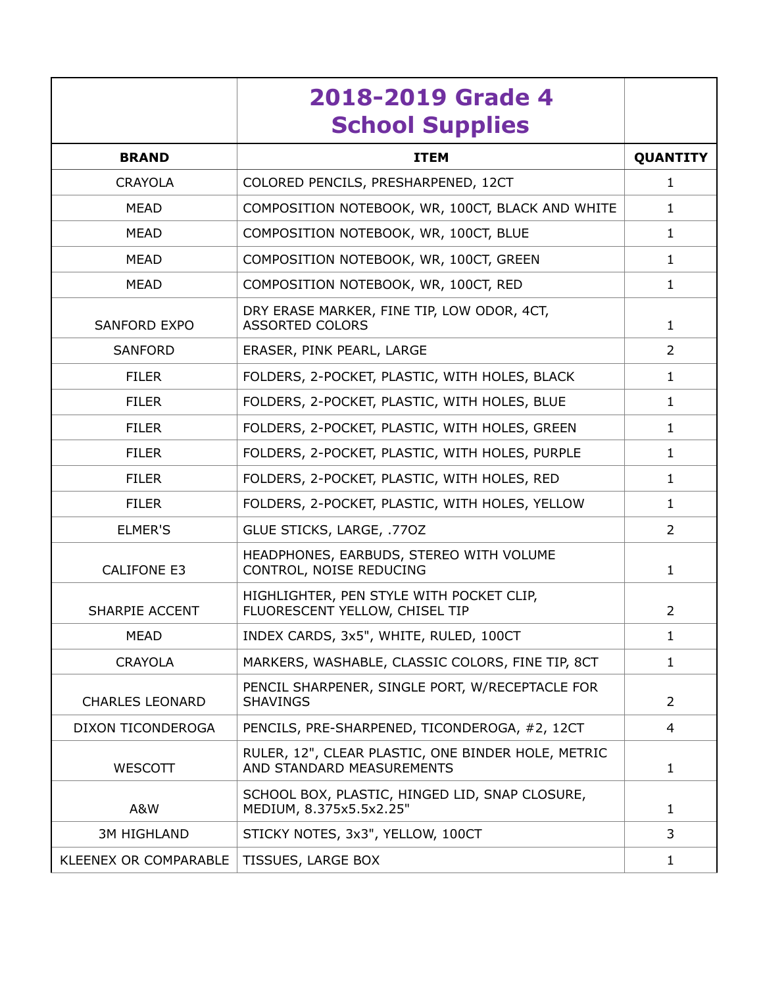|                              | 2018-2019 Grade 4<br><b>School Supplies</b>                                     |                 |
|------------------------------|---------------------------------------------------------------------------------|-----------------|
| <b>BRAND</b>                 | <b>ITEM</b>                                                                     | <b>QUANTITY</b> |
| <b>CRAYOLA</b>               | COLORED PENCILS, PRESHARPENED, 12CT                                             | $\mathbf{1}$    |
| <b>MEAD</b>                  | COMPOSITION NOTEBOOK, WR, 100CT, BLACK AND WHITE                                | $\mathbf{1}$    |
| <b>MEAD</b>                  | COMPOSITION NOTEBOOK, WR, 100CT, BLUE                                           | $\mathbf{1}$    |
| <b>MEAD</b>                  | COMPOSITION NOTEBOOK, WR, 100CT, GREEN                                          | $\mathbf{1}$    |
| <b>MEAD</b>                  | COMPOSITION NOTEBOOK, WR, 100CT, RED                                            | $\mathbf{1}$    |
| <b>SANFORD EXPO</b>          | DRY ERASE MARKER, FINE TIP, LOW ODOR, 4CT,<br><b>ASSORTED COLORS</b>            | 1               |
| <b>SANFORD</b>               | ERASER, PINK PEARL, LARGE                                                       | $\overline{2}$  |
| <b>FILER</b>                 | FOLDERS, 2-POCKET, PLASTIC, WITH HOLES, BLACK                                   | $\mathbf{1}$    |
| <b>FILER</b>                 | FOLDERS, 2-POCKET, PLASTIC, WITH HOLES, BLUE                                    | $\mathbf{1}$    |
| <b>FILER</b>                 | FOLDERS, 2-POCKET, PLASTIC, WITH HOLES, GREEN                                   | $\mathbf{1}$    |
| <b>FILER</b>                 | FOLDERS, 2-POCKET, PLASTIC, WITH HOLES, PURPLE                                  | $\mathbf{1}$    |
| <b>FILER</b>                 | FOLDERS, 2-POCKET, PLASTIC, WITH HOLES, RED                                     | $\mathbf{1}$    |
| <b>FILER</b>                 | FOLDERS, 2-POCKET, PLASTIC, WITH HOLES, YELLOW                                  | $\mathbf{1}$    |
| <b>ELMER'S</b>               | GLUE STICKS, LARGE, .770Z                                                       | $\overline{2}$  |
| <b>CALIFONE E3</b>           | HEADPHONES, EARBUDS, STEREO WITH VOLUME<br>CONTROL, NOISE REDUCING              | $\mathbf{1}$    |
| <b>SHARPIE ACCENT</b>        | HIGHLIGHTER, PEN STYLE WITH POCKET CLIP,<br>FLUORESCENT YELLOW, CHISEL TIP      | $\overline{2}$  |
| <b>MEAD</b>                  | INDEX CARDS, 3x5", WHITE, RULED, 100CT                                          | $\mathbf{1}$    |
| <b>CRAYOLA</b>               | MARKERS, WASHABLE, CLASSIC COLORS, FINE TIP, 8CT                                | $\mathbf{1}$    |
| <b>CHARLES LEONARD</b>       | PENCIL SHARPENER, SINGLE PORT, W/RECEPTACLE FOR<br><b>SHAVINGS</b>              | $\overline{2}$  |
| DIXON TICONDEROGA            | PENCILS, PRE-SHARPENED, TICONDEROGA, #2, 12CT                                   | 4               |
| WESCOTT                      | RULER, 12", CLEAR PLASTIC, ONE BINDER HOLE, METRIC<br>AND STANDARD MEASUREMENTS | $\mathbf{1}$    |
| A&W                          | SCHOOL BOX, PLASTIC, HINGED LID, SNAP CLOSURE,<br>MEDIUM, 8.375x5.5x2.25"       | $\mathbf{1}$    |
| <b>3M HIGHLAND</b>           | STICKY NOTES, 3x3", YELLOW, 100CT                                               | 3               |
| <b>KLEENEX OR COMPARABLE</b> | TISSUES, LARGE BOX                                                              | $\mathbf{1}$    |